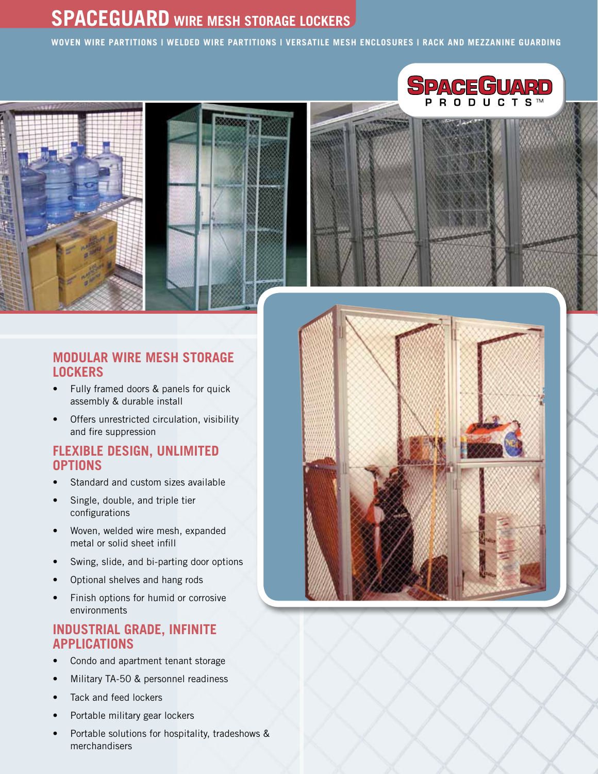## **SPACEGUARD WIRE MESH STORAGE LOCKERS**

**WOVEN Wire Partitions | Welded Wire Partitions | Versatile Mesh Enclosures | Rack and Mezzanine Guarding**







- Fully framed doors & panels for quick assembly & durable install
- Offers unrestricted circulation, visibility and fire suppression

#### **FLEXIBLE DESIGN, UNLIMITED OPTIONS**

- Standard and custom sizes available
- Single, double, and triple tier configurations
- Woven, welded wire mesh, expanded metal or solid sheet infill
- Swing, slide, and bi-parting door options
- Optional shelves and hang rods
- Finish options for humid or corrosive environments

#### **INDUSTRIAL GRADE, INFINITE APPLICATIONS**

- Condo and apartment tenant storage
- Military TA-50 & personnel readiness
- Tack and feed lockers
- Portable military gear lockers
- Portable solutions for hospitality, tradeshows & merchandisers